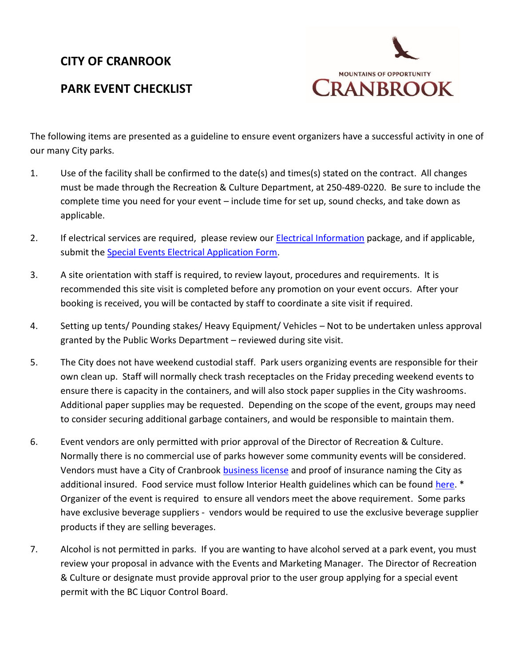## **CITY OF CRANROOK**

## **PARK EVENT CHECKLIST**



The following items are presented as a guideline to ensure event organizers have a successful activity in one of our many City parks.

- 1. Use of the facility shall be confirmed to the date(s) and times(s) stated on the contract. All changes must be made through the Recreation & Culture Department, at 250-489-0220. Be sure to include the complete time you need for your event – include time for set up, sound checks, and take down as applicable.
- 2. If electrical services are required, please review our [Electrical Information](http://docs.cranbrook.ca/downloads/leisure/parkbookings/Electrical-Information-Park-Arena-Users.pdf) package, and if applicable, submit the [Special Events Electrical Application Form.](http://docs.cranbrook.ca/downloads/leisure/parkbookings/Special-Events-Electrical-Application-Form.pdf)
- 3. A site orientation with staff is required, to review layout, procedures and requirements. It is recommended this site visit is completed before any promotion on your event occurs. After your booking is received, you will be contacted by staff to coordinate a site visit if required.
- 4. Setting up tents/ Pounding stakes/ Heavy Equipment/ Vehicles Not to be undertaken unless approval granted by the Public Works Department – reviewed during site visit.
- 5. The City does not have weekend custodial staff. Park users organizing events are responsible for their own clean up. Staff will normally check trash receptacles on the Friday preceding weekend events to ensure there is capacity in the containers, and will also stock paper supplies in the City washrooms. Additional paper supplies may be requested. Depending on the scope of the event, groups may need to consider securing additional garbage containers, and would be responsible to maintain them.
- 6. Event vendors are only permitted with prior approval of the Director of Recreation & Culture. Normally there is no commercial use of parks however some community events will be considered. Vendors must have a City of Cranbrook [business license](http://docs.cranbrook.ca/downloads/eForms/business-licence-application.pdf) and proof of insurance naming the City as additional insured. Food service must follow Interior Health guidelines which can be found [here.](http://www.interiorhealth.ca/YourEnvironment/FoodSafety/Documents/temp%20food%20service%20guidelines.pdf) \* Organizer of the event is required to ensure all vendors meet the above requirement. Some parks have exclusive beverage suppliers - vendors would be required to use the exclusive beverage supplier products if they are selling beverages.
- 7. Alcohol is not permitted in parks. If you are wanting to have alcohol served at a park event, you must review your proposal in advance with the Events and Marketing Manager. The Director of Recreation & Culture or designate must provide approval prior to the user group applying for a special event permit with the BC Liquor Control Board.